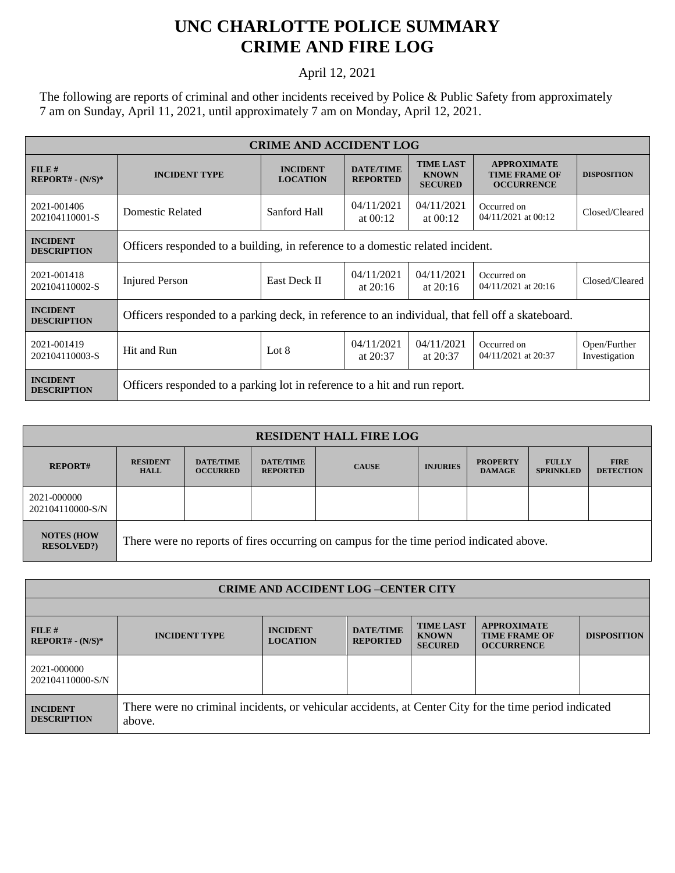## **UNC CHARLOTTE POLICE SUMMARY CRIME AND FIRE LOG**

## April 12, 2021

The following are reports of criminal and other incidents received by Police & Public Safety from approximately 7 am on Sunday, April 11, 2021, until approximately 7 am on Monday, April 12, 2021.

| <b>CRIME AND ACCIDENT LOG</b>         |                                                                                                  |                                    |                                     |                                                    |                                                                 |                               |  |
|---------------------------------------|--------------------------------------------------------------------------------------------------|------------------------------------|-------------------------------------|----------------------------------------------------|-----------------------------------------------------------------|-------------------------------|--|
| FILE#<br>$REPORT# - (N/S)*$           | <b>INCIDENT TYPE</b>                                                                             | <b>INCIDENT</b><br><b>LOCATION</b> | <b>DATE/TIME</b><br><b>REPORTED</b> | <b>TIME LAST</b><br><b>KNOWN</b><br><b>SECURED</b> | <b>APPROXIMATE</b><br><b>TIME FRAME OF</b><br><b>OCCURRENCE</b> | <b>DISPOSITION</b>            |  |
| 2021-001406<br>202104110001-S         | Domestic Related                                                                                 | Sanford Hall                       | 04/11/2021<br>at $00:12$            | 04/11/2021<br>at $00:12$                           | Occurred on<br>04/11/2021 at 00:12                              | Closed/Cleared                |  |
| <b>INCIDENT</b><br><b>DESCRIPTION</b> | Officers responded to a building, in reference to a domestic related incident.                   |                                    |                                     |                                                    |                                                                 |                               |  |
| 2021-001418<br>202104110002-S         | <b>Injured Person</b>                                                                            | East Deck II                       | 04/11/2021<br>at $20:16$            | 04/11/2021<br>at $20:16$                           | Occurred on<br>04/11/2021 at 20:16                              | Closed/Cleared                |  |
| <b>INCIDENT</b><br><b>DESCRIPTION</b> | Officers responded to a parking deck, in reference to an individual, that fell off a skateboard. |                                    |                                     |                                                    |                                                                 |                               |  |
| 2021-001419<br>202104110003-S         | Hit and Run                                                                                      | Lot $8$                            | 04/11/2021<br>at $20:37$            | 04/11/2021<br>at 20:37                             | Occurred on<br>04/11/2021 at 20:37                              | Open/Further<br>Investigation |  |
| <b>INCIDENT</b><br><b>DESCRIPTION</b> | Officers responded to a parking lot in reference to a hit and run report.                        |                                    |                                     |                                                    |                                                                 |                               |  |

| <b>RESIDENT HALL FIRE LOG</b>          |                                                                                         |                                     |                                     |              |                 |                                  |                                  |                                 |
|----------------------------------------|-----------------------------------------------------------------------------------------|-------------------------------------|-------------------------------------|--------------|-----------------|----------------------------------|----------------------------------|---------------------------------|
| <b>REPORT#</b>                         | <b>RESIDENT</b><br><b>HALL</b>                                                          | <b>DATE/TIME</b><br><b>OCCURRED</b> | <b>DATE/TIME</b><br><b>REPORTED</b> | <b>CAUSE</b> | <b>INJURIES</b> | <b>PROPERTY</b><br><b>DAMAGE</b> | <b>FULLY</b><br><b>SPRINKLED</b> | <b>FIRE</b><br><b>DETECTION</b> |
| 2021-000000<br>202104110000-S/N        |                                                                                         |                                     |                                     |              |                 |                                  |                                  |                                 |
| <b>NOTES (HOW</b><br><b>RESOLVED?)</b> | There were no reports of fires occurring on campus for the time period indicated above. |                                     |                                     |              |                 |                                  |                                  |                                 |

| <b>CRIME AND ACCIDENT LOG-CENTER CITY</b> |                                                                                                                  |                                    |                                     |                                                    |                                                                 |                    |
|-------------------------------------------|------------------------------------------------------------------------------------------------------------------|------------------------------------|-------------------------------------|----------------------------------------------------|-----------------------------------------------------------------|--------------------|
|                                           |                                                                                                                  |                                    |                                     |                                                    |                                                                 |                    |
| FILE#<br>$REPORT# - (N/S)*$               | <b>INCIDENT TYPE</b>                                                                                             | <b>INCIDENT</b><br><b>LOCATION</b> | <b>DATE/TIME</b><br><b>REPORTED</b> | <b>TIME LAST</b><br><b>KNOWN</b><br><b>SECURED</b> | <b>APPROXIMATE</b><br><b>TIME FRAME OF</b><br><b>OCCURRENCE</b> | <b>DISPOSITION</b> |
| 2021-000000<br>202104110000-S/N           |                                                                                                                  |                                    |                                     |                                                    |                                                                 |                    |
| <b>INCIDENT</b><br><b>DESCRIPTION</b>     | There were no criminal incidents, or vehicular accidents, at Center City for the time period indicated<br>above. |                                    |                                     |                                                    |                                                                 |                    |